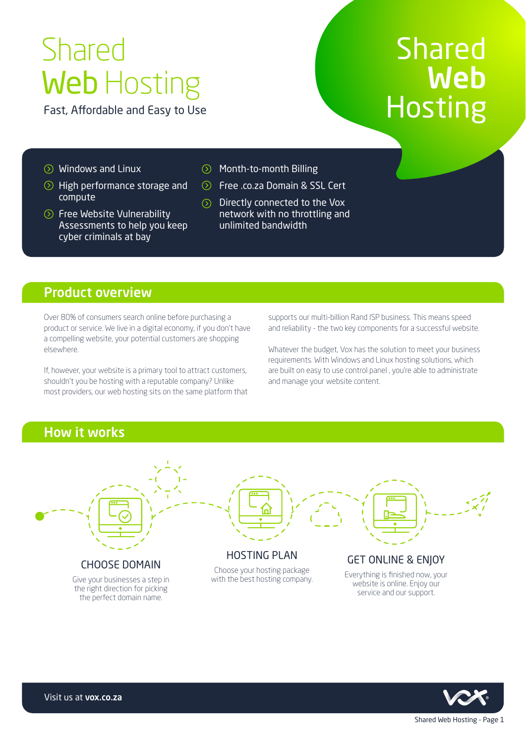# Shared Web Hosting

Fast, Affordable and Easy to Use

## Shared Web Hosting

- $\odot$  Windows and Linux
- **◯** High performance storage and compute
- **◯ Free Website Vulnerability** Assessments to help you keep cyber criminals at bay
- $\circledcirc$ Month-to-month Billing
- **◯ Free .co.za Domain & SSL Cert**
- $\circled{)}$  Directly connected to the Vox network with no throttling and unlimited bandwidth

## Product overview

Over 80% of consumers search online before purchasing a product or service. We live in a digital economy, if you don't have a compelling website, your potential customers are shopping elsewhere.

If, however, your website is a primary tool to attract customers, shouldn't you be hosting with a reputable company? Unlike most providers, our web hosting sits on the same platform that supports our multi-billion Rand ISP business. This means speed and reliability - the two key components for a successful website.

Whatever the budget, Vox has the solution to meet your business requirements. With Windows and Linux hosting solutions, which are built on easy to use control panel , you're able to administrate and manage your website content.

## How it works



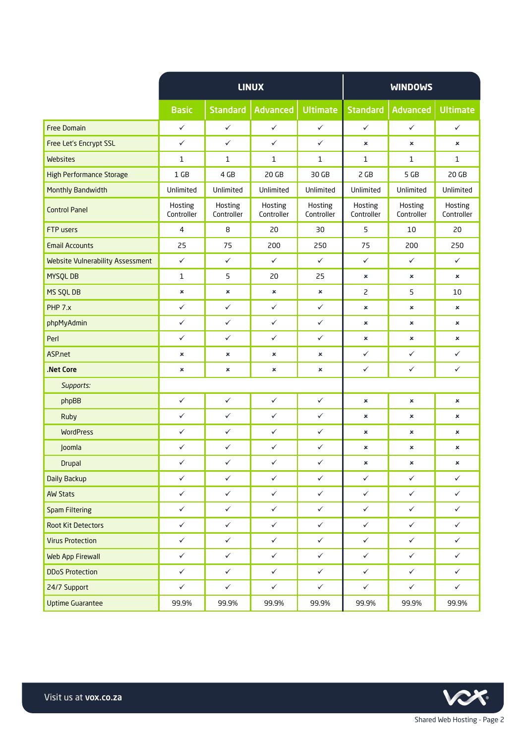|                                         | <b>LINUX</b>          |                       |                       |                       | <b>WINDOWS</b>        |                       |                       |
|-----------------------------------------|-----------------------|-----------------------|-----------------------|-----------------------|-----------------------|-----------------------|-----------------------|
|                                         | <b>Basic</b>          | <b>Standard</b>       | <b>Advanced</b>       | <b>Ultimate</b>       | <b>Standard</b>       | <b>Advanced</b>       | <b>Ultimate</b>       |
| <b>Free Domain</b>                      | $\checkmark$          | $\checkmark$          | $\checkmark$          | $\checkmark$          | $\checkmark$          | $\checkmark$          | $\checkmark$          |
| <b>Free Let's Encrypt SSL</b>           | $\checkmark$          | $\checkmark$          | $\checkmark$          | $\checkmark$          | ×                     | $\mathbf x$           | $\pmb{\times}$        |
| Websites                                | $\mathbf{1}$          | 1                     | 1                     | $\mathbf{1}$          | 1                     | $\mathbf{1}$          | $\mathbf{1}$          |
| <b>High Performance Storage</b>         | 1 <sub>GB</sub>       | 4 GB                  | 20 <sub>GB</sub>      | 30 GB                 | 2 GB                  | 5 GB                  | 20 <sub>GB</sub>      |
| Monthly Bandwidth                       | Unlimited             | Unlimited             | Unlimited             | Unlimited             | Unlimited             | Unlimited             | Unlimited             |
| <b>Control Panel</b>                    | Hosting<br>Controller | Hosting<br>Controller | Hosting<br>Controller | Hosting<br>Controller | Hosting<br>Controller | Hosting<br>Controller | Hosting<br>Controller |
| FTP users                               | $\overline{4}$        | 8                     | 20                    | 30                    | 5                     | 10                    | 20                    |
| <b>Email Accounts</b>                   | 25                    | 75                    | 200                   | 250                   | 75                    | 200                   | 250                   |
| <b>Website Vulnerability Assessment</b> | $\checkmark$          | $\checkmark$          | $\checkmark$          | $\checkmark$          | $\checkmark$          | $\checkmark$          | $\checkmark$          |
| <b>MYSQLDB</b>                          | $\mathbf{1}$          | 5                     | 20                    | 25                    | ×                     | ×                     | $\mathbf x$           |
| MS SQL DB                               | ×                     | $\pmb{\times}$        | $\pmb{\times}$        | ×                     | $\overline{c}$        | 5                     | 10                    |
| PHP 7.x                                 | $\checkmark$          | $\checkmark$          | $\checkmark$          | $\checkmark$          | ×                     | ×                     | ×                     |
| phpMyAdmin                              | $\checkmark$          | $\checkmark$          | $\checkmark$          | $\checkmark$          | ×                     | ×                     | $\pmb{\times}$        |
| Perl                                    | $\checkmark$          | $\checkmark$          | $\checkmark$          | $\checkmark$          | ×                     | ×                     | ×                     |
| ASP.net                                 | ×                     | ×                     | ×                     | ×                     | $\checkmark$          | $\checkmark$          | $\checkmark$          |
| .Net Core                               | ×                     | ×                     | ×                     | ×                     | $\checkmark$          | $\checkmark$          | $\checkmark$          |
| Supports:                               |                       |                       |                       |                       |                       |                       |                       |
| phpBB                                   | $\checkmark$          | $\checkmark$          | $\checkmark$          | $\checkmark$          | $\pmb{\times}$        | ×                     | $\pmb{\times}$        |
| <b>Ruby</b>                             | $\checkmark$          | $\checkmark$          | ✓                     | $\checkmark$          | ×                     | ×                     | ×                     |
| <b>WordPress</b>                        | $\checkmark$          | $\checkmark$          | $\checkmark$          | $\checkmark$          | ×                     | ×                     | $\pmb{\times}$        |
| Joomla                                  | $\checkmark$          | $\checkmark$          | $\checkmark$          | $\checkmark$          | ×                     | ×                     | ×                     |
| <b>Drupal</b>                           | $\checkmark$          | $\checkmark$          | $\checkmark$          | $\checkmark$          | ×                     | ×                     | ×                     |
| Daily Backup                            | $\checkmark$          | $\checkmark$          | $\checkmark$          | $\checkmark$          | ✓                     | $\checkmark$          | $\checkmark$          |
| <b>AW Stats</b>                         | $\checkmark$          | $\checkmark$          | $\checkmark$          | $\checkmark$          | $\checkmark$          | $\checkmark$          | $\checkmark$          |
| <b>Spam Filtering</b>                   | $\checkmark$          | $\checkmark$          | $\checkmark$          | $\checkmark$          | $\checkmark$          | $\checkmark$          | $\checkmark$          |
| <b>Root Kit Detectors</b>               | $\checkmark$          | $\checkmark$          | $\checkmark$          | $\checkmark$          | $\checkmark$          | $\checkmark$          | $\checkmark$          |
| <b>Virus Protection</b>                 | $\checkmark$          | $\checkmark$          | $\checkmark$          | $\checkmark$          | $\checkmark$          | $\checkmark$          | $\checkmark$          |
| Web App Firewall                        | $\checkmark$          | $\checkmark$          | $\checkmark$          | $\checkmark$          | $\checkmark$          | $\checkmark$          | $\checkmark$          |
| <b>DDoS Protection</b>                  | $\checkmark$          | $\checkmark$          | $\checkmark$          | $\checkmark$          | $\checkmark$          | $\checkmark$          | $\checkmark$          |
| 24/7 Support                            | $\checkmark$          | $\checkmark$          | $\checkmark$          | $\checkmark$          | $\checkmark$          | $\checkmark$          | $\checkmark$          |
| <b>Uptime Guarantee</b>                 | 99.9%                 | 99.9%                 | 99.9%                 | 99.9%                 | 99.9%                 | 99.9%                 | 99.9%                 |